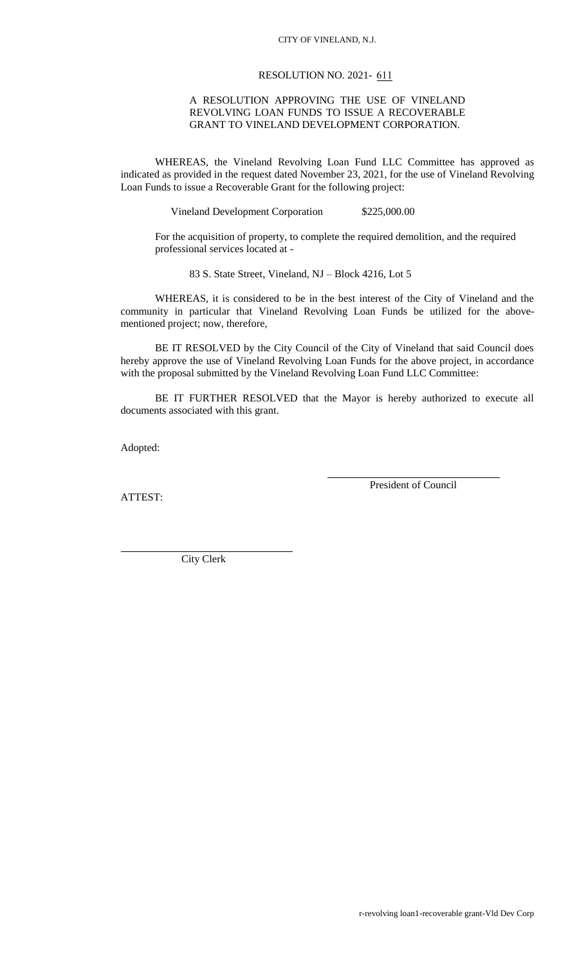## CITY OF VINELAND, N.J.

## RESOLUTION NO. 2021- 611

## A RESOLUTION APPROVING THE USE OF VINELAND REVOLVING LOAN FUNDS TO ISSUE A RECOVERABLE GRANT TO VINELAND DEVELOPMENT CORPORATION.

WHEREAS, the Vineland Revolving Loan Fund LLC Committee has approved as indicated as provided in the request dated November 23, 2021, for the use of Vineland Revolving Loan Funds to issue a Recoverable Grant for the following project:

Vineland Development Corporation \$225,000.00

For the acquisition of property, to complete the required demolition, and the required professional services located at -

83 S. State Street, Vineland, NJ – Block 4216, Lot 5

WHEREAS, it is considered to be in the best interest of the City of Vineland and the community in particular that Vineland Revolving Loan Funds be utilized for the abovementioned project; now, therefore,

BE IT RESOLVED by the City Council of the City of Vineland that said Council does hereby approve the use of Vineland Revolving Loan Funds for the above project, in accordance with the proposal submitted by the Vineland Revolving Loan Fund LLC Committee:

BE IT FURTHER RESOLVED that the Mayor is hereby authorized to execute all documents associated with this grant.

Adopted:

ATTEST:

President of Council

City Clerk